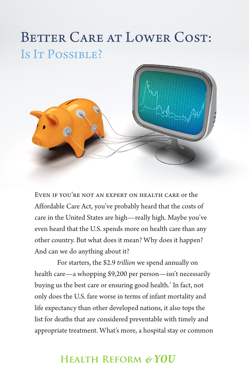# BETTER CARE AT LOWER COST: Is IT POSSIBLE?



Even if you're not an expert on health care or the Affordable Care Act, you've probably heard that the costs of care in the United States are high—really high. Maybe you've even heard that the U.S. spends more on health care than any other country. But what does it mean? Why does it happen? And can we do anything about it?

For starters, the \$2.9 *trillion* we spend annually on health care—a whopping \$9,200 per person—isn't necessarily buying us the best care or ensuring good health.<sup>1</sup> In fact, not only does the U.S. fare worse in terms of infant mortality and life expectancy than other developed nations, it also tops the list for deaths that are considered preventable with timely and appropriate treatment. What's more, a hospital stay or common

## **Health Reform** *& YOU*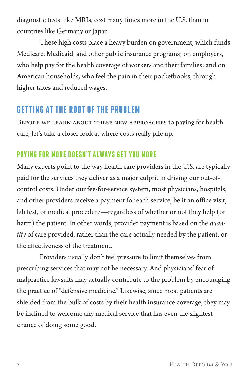diagnostic tests, like MRIs, cost many times more in the U.S. than in countries like Germany or Japan.

These high costs place a heavy burden on government, which funds Medicare, Medicaid, and other public insurance programs; on employers, who help pay for the health coverage of workers and their families; and on American households, who feel the pain in their pocketbooks, through higher taxes and reduced wages.

## **GETTING AT THE ROOT OF THE PROBLEM**

Before we learn about these new approaches to paying for health care, let's take a closer look at where costs really pile up.

#### **PAYING FOR MORE DOESN'T ALWAYS GET YOU MORE**

Many experts point to the way health care providers in the U.S. are typically paid for the services they deliver as a major culprit in driving our out-ofcontrol costs. Under our fee-for-service system, most physicians, hospitals, and other providers receive a payment for each service, be it an office visit, lab test, or medical procedure—regardless of whether or not they help (or harm) the patient. In other words, provider payment is based on the *quantity* of care provided, rather than the care actually needed by the patient, or the effectiveness of the treatment.

Providers usually don't feel pressure to limit themselves from prescribing services that may not be necessary. And physicians' fear of malpractice lawsuits may actually contribute to the problem by encouraging the practice of "defensive medicine." Likewise, since most patients are shielded from the bulk of costs by their health insurance coverage, they may be inclined to welcome any medical service that has even the slightest chance of doing some good.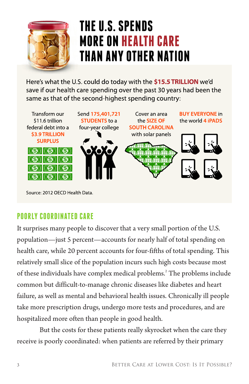

# THE U.S. SPENDS **MORE ON HEALTH CARE THAN ANY OTHER NATION**

Here's what the U.S. could do today with the \$15.5 TRILLION we'd save if our health care spending over the past 30 years had been the same as that of the second-highest spending country:



Source: 2012 OFCD Health Data.

### **POORLY COORDINATED CARE**

It surprises many people to discover that a very small portion of the U.S. population—just 5 percent—accounts for nearly half of total spending on health care, while 20 percent accounts for four-fifths of total spending. This relatively small slice of the population incurs such high costs because most of these individuals have complex medical problems.<sup>2</sup> The problems include common but difficult-to-manage chronic diseases like diabetes and heart failure, as well as mental and behavioral health issues. Chronically ill people take more prescription drugs, undergo more tests and procedures, and are hospitalized more often than people in good health.

But the costs for these patients really skyrocket when the care they receive is poorly coordinated: when patients are referred by their primary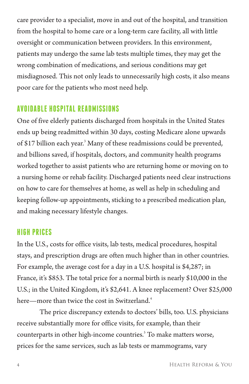care provider to a specialist, move in and out of the hospital, and transition from the hospital to home care or a long-term care facility, all with little oversight or communication between providers. In this environment, patients may undergo the same lab tests multiple times, they may get the wrong combination of medications, and serious conditions may get misdiagnosed. This not only leads to unnecessarily high costs, it also means poor care for the patients who most need help.

#### **AVOIDABLE HOSPITAL READMISSIONS**

One of five elderly patients discharged from hospitals in the United States ends up being readmitted within 30 days, costing Medicare alone upwards of \$17 billion each year.<sup>3</sup> Many of these readmissions could be prevented, and billions saved, if hospitals, doctors, and community health programs worked together to assist patients who are returning home or moving on to a nursing home or rehab facility. Discharged patients need clear instructions on how to care for themselves at home, as well as help in scheduling and keeping follow-up appointments, sticking to a prescribed medication plan, and making necessary lifestyle changes.

#### **HIGH PRICES**

In the U.S., costs for office visits, lab tests, medical procedures, hospital stays, and prescription drugs are often much higher than in other countries. For example, the average cost for a day in a U.S. hospital is \$4,287; in France, it's \$853. The total price for a normal birth is nearly \$10,000 in the U.S.; in the United Kingdom, it's \$2,641. A knee replacement? Over \$25,000 here—more than twice the cost in Switzerland.<sup>4</sup>

The price discrepancy extends to doctors' bills, too. U.S. physicians receive substantially more for office visits, for example, than their counterparts in other high-income countries.<sup>5</sup> To make matters worse, prices for the same services, such as lab tests or mammograms, vary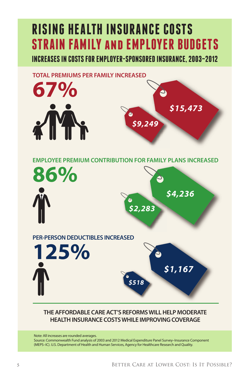# **RISING HEALTH INSURANCE COSTS STRAIN FAMILY and EMPLOYER BUDGETS**

**INCREASES IN COSTS FOR EMPLOYER-SPONSORED INSURANCE, 2003–2012**



#### **THE AFFORDABLE CARE ACT'S REFORMS WILL HELP MODERATE HEALTH INSURANCE COSTS WHILE IMPROVING COVERAGE**

Note: All increases are rounded averages.

Source: Commonwealth Fund analysis of 2003 and 2012 Medical Expenditure Panel Survey–Insurance Component (MEPS–IC). U.S. Department of Health and Human Services, Agency for Healthcare Research and Quality.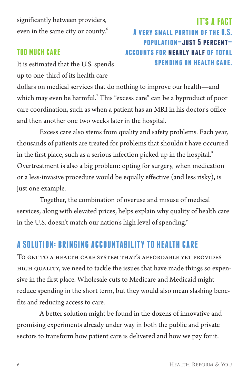significantly between providers, even in the same city or county.<sup>6</sup>

#### **TOO MUCH CARE**

It is estimated that the U.S. spends up to one-third of its health care

### **IT'S A FACT A very small portion of the U.S. population—just 5 percent accounts for nearly half of total spending on health care.**

dollars on medical services that do nothing to improve our health—and which may even be harmful.7 This "excess care" can be a byproduct of poor care coordination, such as when a patient has an MRI in his doctor's office and then another one two weeks later in the hospital.

Excess care also stems from quality and safety problems. Each year, thousands of patients are treated for problems that shouldn't have occurred in the first place, such as a serious infection picked up in the hospital.<sup>8</sup> Overtreatment is also a big problem: opting for surgery, when medication or a less-invasive procedure would be equally effective (and less risky), is just one example.

Together, the combination of overuse and misuse of medical services, along with elevated prices, helps explain why quality of health care in the U.S. doesn't match our nation's high level of spending.'

# **A SOLUTION: BRINGING ACCOUNTABILITY TO HEALTH CARE**

To get to a health care system that's affordable yet provides high quality, we need to tackle the issues that have made things so expensive in the first place. Wholesale cuts to Medicare and Medicaid might reduce spending in the short term, but they would also mean slashing benefits and reducing access to care.

A better solution might be found in the dozens of innovative and promising experiments already under way in both the public and private sectors to transform how patient care is delivered and how we pay for it.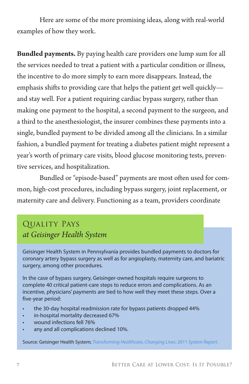Here are some of the more promising ideas, along with real-world examples of how they work.

**Bundled payments.** By paying health care providers one lump sum for all the services needed to treat a patient with a particular condition or illness, the incentive to do more simply to earn more disappears. Instead, the emphasis shifts to providing care that helps the patient get well quickly and stay well. For a patient requiring cardiac bypass surgery, rather than making one payment to the hospital, a second payment to the surgeon, and a third to the anesthesiologist, the insurer combines these payments into a single, bundled payment to be divided among all the clinicians. In a similar fashion, a bundled payment for treating a diabetes patient might represent a year's worth of primary care visits, blood glucose monitoring tests, preventive services, and hospitalization.

Bundled or "episode-based" payments are most often used for common, high-cost procedures, including bypass surgery, joint replacement, or maternity care and delivery. Functioning as a team, providers coordinate

### Quality Pays *at Geisinger Health System*

Geisinger Health System in Pennsylvania provides bundled payments to doctors for coronary artery bypass surgery as well as for angioplasty, maternity care, and bariatric surgery, among other procedures.

In the case of bypass surgery, Geisinger-owned hospitals require surgeons to complete 40 critical patient-care steps to reduce errors and complications. As an incentive, physicians' payments are tied to how well they meet these steps. Over a five-year period:

- the 30-day hospital readmission rate for bypass patients dropped 44%
- • in-hospital mortality decreased 67%
- wound infections fell 76%
- any and all complications declined 10%.

Source: Geisinger Health System; *[Transforming Healthcare, Changing Lives: 2011 System Report](http://www.geisinger.org/about/2011_AR_FINAL.pd)*.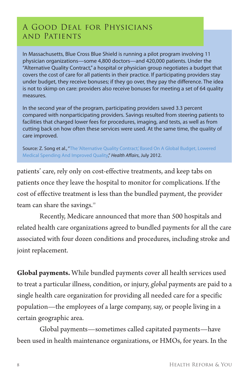#### A Good Deal for Physicians and Patients

In Massachusetts, Blue Cross Blue Shield is running a pilot program involving 11 physician organizations—some 4,800 doctors—and 420,000 patients. Under the "Alternative Quality Contract," a hospital or physician group negotiates a budget that covers the cost of care for all patients in their practice. If participating providers stay under budget, they receive bonuses; if they go over, they pay the difference. The idea is not to skimp on care: providers also receive bonuses for meeting a set of 64 quality measures.

In the second year of the program, participating providers saved 3.3 percent compared with nonparticipating providers. Savings resulted from steering patients to facilities that charged lower fees for procedures, imaging, and tests, as well as from cutting back on how often these services were used. At the same time, the quality of care improved.

Source: Z. Song et al., "The 'Alternative Quality Contract,' Based On A Global Budget, Lowered [Medical Spending And Improved Quality,](http://content.healthaffairs.org/content/early/2012/07/09/hlthaff.2012.0327.full)" *Health Affairs*, July 2012.

patients' care, rely only on cost-effective treatments, and keep tabs on patients once they leave the hospital to monitor for complications. If the cost of effective treatment is less than the bundled payment, the provider team can share the savings.<sup>10</sup>

Recently, Medicare announced that more than 500 hospitals and related health care organizations agreed to bundled payments for all the care associated with four dozen conditions and procedures, including stroke and joint replacement.

**Global payments.** While bundled payments cover all health services used to treat a particular illness, condition, or injury, *global* payments are paid to a single health care organization for providing all needed care for a specific population—the employees of a large company, say, or people living in a certain geographic area.

Global payments—sometimes called capitated payments—have been used in health maintenance organizations, or HMOs, for years. In the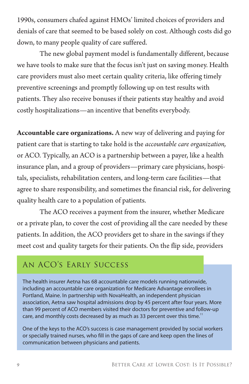1990s, consumers chafed against HMOs' limited choices of providers and denials of care that seemed to be based solely on cost. Although costs did go down, to many people quality of care suffered.

The new global payment model is fundamentally different, because we have tools to make sure that the focus isn't just on saving money. Health care providers must also meet certain quality criteria, like offering timely preventive screenings and promptly following up on test results with patients. They also receive bonuses if their patients stay healthy and avoid costly hospitalizations—an incentive that benefits everybody.

**Accountable care organizations.** A new way of delivering and paying for patient care that is starting to take hold is the *accountable care organization,* or ACO. Typically, an ACO is a partnership between a payer, like a health insurance plan, and a group of providers—primary care physicians, hospitals, specialists, rehabilitation centers, and long-term care facilities—that agree to share responsibility, and sometimes the financial risk, for delivering quality health care to a population of patients.

The ACO receives a payment from the insurer, whether Medicare or a private plan, to cover the cost of providing all the care needed by these patients. In addition, the ACO providers get to share in the savings if they meet cost and quality targets for their patients. On the flip side, providers

#### An ACO's Early Success

The health insurer Aetna has 68 accountable care models running nationwide, including an accountable care organization for Medicare Advantage enrollees in Portland, Maine. In partnership with NovaHealth, an independent physician association, Aetna saw hospital admissions drop by 45 percent after four years. More than 99 percent of ACO members visited their doctors for preventive and follow-up care, and monthly costs decreased by as much as 33 percent over this time.<sup>11</sup>

One of the keys to the ACO's success is case management provided by social workers or specially trained nurses, who fill in the gaps of care and keep open the lines of communication between physicians and patients.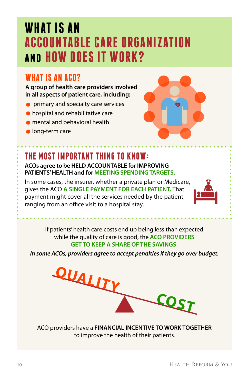# **WHAT IS AN ACCOUNTABLE CARE ORGANIZATION and HOW DOES IT WORK?**

### WHAT IS AN ACO?

**A group of health care providers involved in all aspects of patient care, including:**

- **•** primary and specialty care services
- hospital and rehabilitative care
- mental and behavioral health
- **o** long-term care



## **THE MOST IMPORTANT THING TO KNOW:**

**ACOs agree to be HELD ACCOUNTABLE for IMPROVING PATIENTS' HEALTH and for MEETING SPENDING TARGETS.**

In some cases, the insurer, whether a private plan or Medicare, gives the ACO **A SINGLE PAYMENT FOR EACH PATIENT.** That payment might cover all the services needed by the patient, ranging from an office visit to a hospital stay.



If patients' health care costs end up being less than expected while the quality of care is good, the **ACO PROVIDERS GET TO KEEP A SHARE OF THE SAVINGS**.

*In some ACOs, providers agree to accept penalties if they go over budget.* 



ACO providers have a **FINANCIAL INCENTIVE TO WORK TOGETHER** to improve the health of their patients.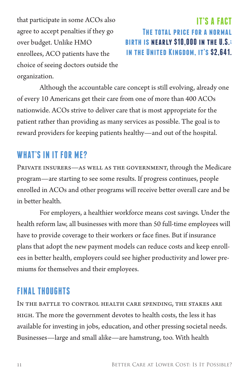that participate in some ACOs also agree to accept penalties if they go over budget. Unlike HMO enrollees, ACO patients have the choice of seeing doctors outside the organization.

**IT'S A FACT The total price for a normal birth is nearly \$10,000 in the U.S.; in the United Kingdom, it's \$2,641.**

Although the accountable care concept is still evolving, already one of every 10 Americans get their care from one of more than 400 ACOs nationwide. ACOs strive to deliver care that is most appropriate for the patient rather than providing as many services as possible. The goal is to reward providers for keeping patients healthy—and out of the hospital.

#### **WHAT'S IN IT FOR ME?**

Private insurers—as well as the government, through the Medicare program—are starting to see some results. If progress continues, people enrolled in ACOs and other programs will receive better overall care and be in better health.

For employers, a healthier workforce means cost savings. Under the health reform law, all businesses with more than 50 full-time employees will have to provide coverage to their workers or face fines. But if insurance plans that adopt the new payment models can reduce costs and keep enrollees in better health, employers could see higher productivity and lower premiums for themselves and their employees.

# **FINAL THOUGHTS**

In the battle to control health care spending, the stakes are high. The more the government devotes to health costs, the less it has available for investing in jobs, education, and other pressing societal needs. Businesses—large and small alike—are hamstrung, too. With health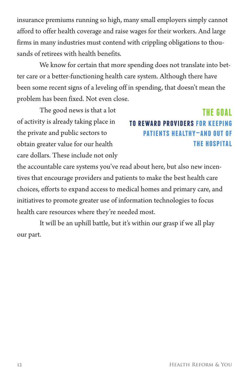insurance premiums running so high, many small employers simply cannot afford to offer health coverage and raise wages for their workers. And large firms in many industries must contend with crippling obligations to thousands of retirees with health benefits.

We know for certain that more spending does not translate into better care or a better-functioning health care system. Although there have been some recent signs of a leveling off in spending, that doesn't mean the problem has been fixed. Not even close.

The good news is that a lot of activity is already taking place in the private and public sectors to obtain greater value for our health care dollars. These include not only

# **THE GOAL to reward providers for keeping patients healthy—and out of the hospital**

the accountable care systems you've read about here, but also new incentives that encourage providers and patients to make the best health care choices, efforts to expand access to medical homes and primary care, and initiatives to promote greater use of information technologies to focus health care resources where they're needed most.

It will be an uphill battle, but it's within our grasp if we all play our part.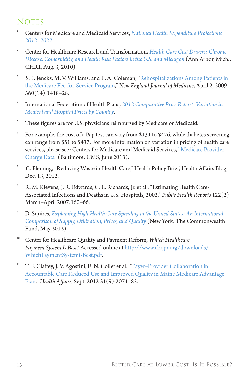#### **NOTES**

- 1 Centers for Medicare and Medicaid Services, *[National Health Expenditure Projections](http://www.cms.gov/Research-Statistics-Data-and-Systems/Statistics-Trends-and-Reports/NationalHealthExpendData/Downloads/Proj2012.pdf)  [2012–2022](http://www.cms.gov/Research-Statistics-Data-and-Systems/Statistics-Trends-and-Reports/NationalHealthExpendData/Downloads/Proj2012.pdf)*.
- 2 Center for Healthcare Research and Transformation, *[Health Care Cost Drivers: Chronic](http://www.chrt.org/publications/price-of-care/issue-brief-2010-08-health-care-cost-drivers/)  [Disease, Comorbidity, and Health Risk Factors in the U.S. and Michigan](http://www.chrt.org/publications/price-of-care/issue-brief-2010-08-health-care-cost-drivers/)* (Ann Arbor, Mich.: CHRT, Aug. 3, 2010).
- 3 S. F. Jencks, M. V. Williams, and E. A. Coleman, ["Rehospitalizations Among Patients in](http://www.nejm.org/doi/full/10.1056/NEJMsa0803563)  [the Medicare Fee-for-Service Program,"](http://www.nejm.org/doi/full/10.1056/NEJMsa0803563) *New England Journal of Medicine*, April 2, 2009 360(14):1418–28.
- 4 International Federation of Health Plans, *[2012 Comparative Price Report: Variation in](https://static.squarespace.com/static/518a3cfee4b0a77d03a62c98/t/51dfd9f9e4b0d1d8067dcde2/1373624825901/2012%20iFHP%20Price%20Report%20FINAL%20April%203.pdf)  [Medical and Hospital Prices by Country](https://static.squarespace.com/static/518a3cfee4b0a77d03a62c98/t/51dfd9f9e4b0d1d8067dcde2/1373624825901/2012%20iFHP%20Price%20Report%20FINAL%20April%203.pdf)*.
- 5 These figures are for U.S. physicians reimbursed by Medicare or Medicaid.
- 6 For example, the cost of a Pap test can vary from \$131 to \$476, while diabetes screening can range from \$51 to \$437. For more information on variation in pricing of health care services, please see: Centers for Medicare and Medicaid Services, ["Medicare Provider](https://www.cms.gov/Research-Statistics-Data-and-Systems/Statistics-Trends-and-Reports/Medicare-Provider-Charge-Data/index.html)  [Charge Data"](https://www.cms.gov/Research-Statistics-Data-and-Systems/Statistics-Trends-and-Reports/Medicare-Provider-Charge-Data/index.html) (Baltimore: CMS, June 2013).
- 7 C. Fleming, "Reducing Waste in Health Care," Health Policy Brief, Health Affairs Blog, Dec. 13, 2012.
- 8 R. M. Klevens, J. R. Edwards, C. L. Richards, Jr. et al., "Estimating Health Care-Associated Infections and Deaths in U.S. Hospitals, 2002," *Public Health Reports* 122(2) March–April 2007:160–66.
- 9 D. Squires, *[Explaining High Health Care Spending in the United States: An International](http://www.commonwealthfund.org/Publications/Issue-Briefs/2012/May/High-Health-Care-Spending.aspx)  [Comparison of Supply, Utilization, Prices, and Quality](http://www.commonwealthfund.org/Publications/Issue-Briefs/2012/May/High-Health-Care-Spending.aspx)* (New York: The Commonwealth Fund, May 2012).
- <sup>10</sup> Center for Healthcare Quality and Payment Reform, *Which Healthcare Payment System Is Best?* Accessed online at [http://www.chqpr.org/downloads/](http://www.chqpr.org/downloads/WhichPaymentSystemisBest.pdf) [WhichPaymentSystemisBest.pdf](http://www.chqpr.org/downloads/WhichPaymentSystemisBest.pdf).
- <sup>11</sup> T. F. Claffey, J. V. Agostini, E. N. Collet et al., ["Payer–Provider Collaboration in](http://content.healthaffairs.org/content/31/9/2074.full)  [Accountable Care Reduced Use and Improved Quality in Maine Medicare Advantage](http://content.healthaffairs.org/content/31/9/2074.full)  [Plan,"](http://content.healthaffairs.org/content/31/9/2074.full) *Health Affairs,* Sept. 2012 31(9):2074–83.